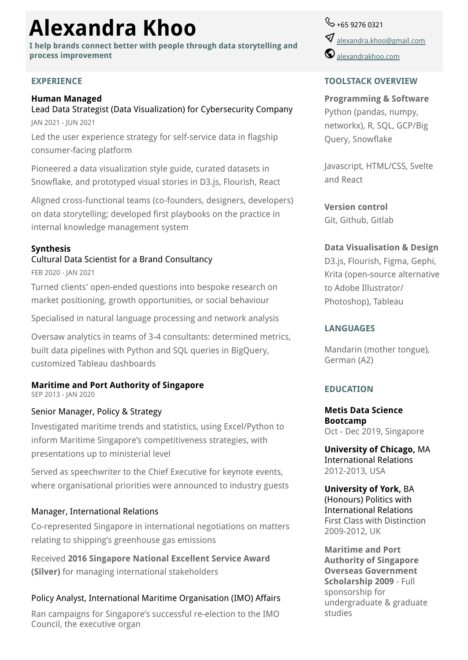# **Alexandra Khoo**

**I help brands connect better with people through data storytelling and process improvement**

#### **EXPERIENCE**

# **Human Managed**

Lead Data Strategist (Data Visualization) for Cybersecurity Company JAN 2021 - JUN 2021

Led the user experience strategy for self-service data in flagship consumer-facing platform

Pioneered a data visualization style guide, curated datasets in Snowflake, and prototyped visual stories in D3.js, Flourish, React

Aligned cross-functional teams (co-founders, designers, developers) on data storytelling; developed first playbooks on the practice in internal knowledge management system

## **Synthesis**

# Cultural Data Scientist for a Brand Consultancy

FEB 2020 - JAN 2021

Turned clients' open-ended questions into bespoke research on market positioning, growth opportunities, or social behaviour

Specialised in natural language processing and network analysis

Oversaw analytics in teams of 3-4 consultants: determined metrics, built data pipelines with Python and SQL queries in BigQuery, customized Tableau dashboards

# **Maritime and Port Authority of Singapore**

SEP 2013 - JAN 2020

#### Senior Manager, Policy & Strategy

Investigated maritime trends and statistics, using Excel/Python to inform Maritime Singapore's competitiveness strategies, with presentations up to ministerial level

Served as speechwriter to the Chief Executive for keynote events, where organisational priorities were announced to industry guests

#### Manager, International Relations

Co-represented Singapore in international negotiations on matters relating to shipping's greenhouse gas emissions

Received **2016 Singapore National Excellent Service Award (Silver)** for managing international stakeholders

### Policy Analyst, International Maritime Organisation (IMO) Affairs

Ran campaigns for Singapore's successful re-election to the IMO Council, the executive organ

 $\%$  +65 9276 0321  $\blacklozenge$  [alexandra.khoo@gmail.com](mailto:alexandra.khoo@gmail.com)  $\mathbf \Theta$  [alexandrakhoo.com](https://www.alexandrakhoo.com)

#### **TOOLSTACK OVERVIEW**

#### **Programming & Software**

Python (pandas, numpy, networkx), R, SQL, GCP/Big Query, Snowflake

Javascript, HTML/CSS, Svelte and React

**Version control** Git, Github, Gitlab

#### **Data Visualisation & Design**

D3.js, Flourish, Figma, Gephi, Krita (open-source alternative to Adobe Illustrator/ Photoshop), Tableau

#### **LANGUAGES**

Mandarin (mother tongue), German (A2)

### **EDUCATION**

**Metis Data Science Bootcamp** Oct - Dec 2019, Singapore

**University of Chicago,** MA International Relations 2012-2013, USA

**University of York,** BA (Honours) Politics with International Relations First Class with Distinction 2009-2012, UK

**Maritime and Port Authority of Singapore Overseas Government Scholarship 2009** - Full sponsorship for undergraduate & graduate studies